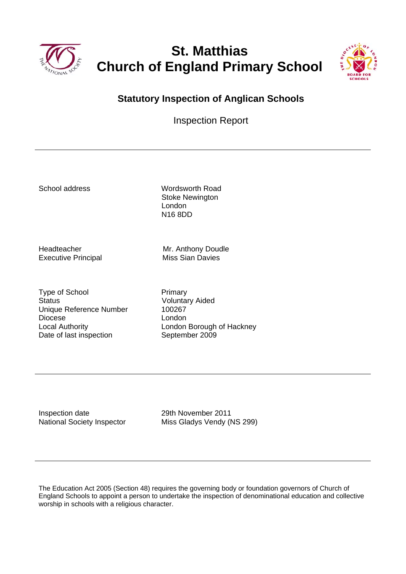

# **St. Matthias Church of England Primary School**



### **Statutory Inspection of Anglican Schools**

Inspection Report

School address Wordsworth Road Stoke Newington London N16 8DD

Executive Principal Miss Sian Davies

Headteacher Mr. Anthony Doudle

Type of School Primary Status<br>
Unique Reference Number<br>
100267 Unique Reference Number Diocese London Date of last inspection September 2009

Local Authority London Borough of Hackney

Inspection date 2011<br>
National Society Inspector Miss Gladys Vendy (National Society Inspector

Miss Gladys Vendy (NS 299)

The Education Act 2005 (Section 48) requires the governing body or foundation governors of Church of England Schools to appoint a person to undertake the inspection of denominational education and collective worship in schools with a religious character.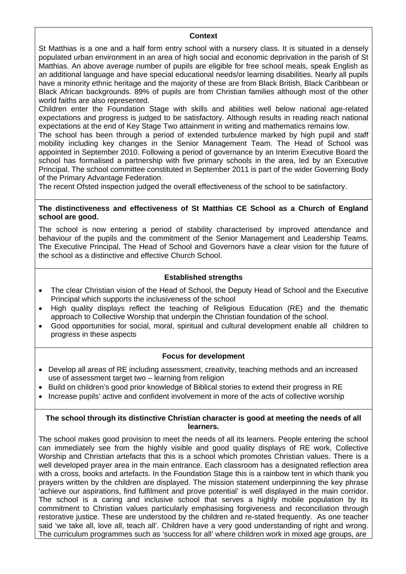#### **Context**

St Matthias is a one and a half form entry school with a nursery class. It is situated in a densely populated urban environment in an area of high social and economic deprivation in the parish of St Matthias. An above average number of pupils are eligible for free school meals, speak English as an additional language and have special educational needs/or learning disabilities. Nearly all pupils have a minority ethnic heritage and the majority of these are from Black British, Black Caribbean or Black African backgrounds. 89% of pupils are from Christian families although most of the other world faiths are also represented.

Children enter the Foundation Stage with skills and abilities well below national age-related expectations and progress is judged to be satisfactory. Although results in reading reach national expectations at the end of Key Stage Two attainment in writing and mathematics remains low.

The school has been through a period of extended turbulence marked by high pupil and staff mobility including key changes in the Senior Management Team. The Head of School was appointed in September 2010. Following a period of governance by an Interim Executive Board the school has formalised a partnership with five primary schools in the area, led by an Executive Principal. The school committee constituted in September 2011 is part of the wider Governing Body of the Primary Advantage Federation.

The recent Ofsted inspection judged the overall effectiveness of the school to be satisfactory.

#### **The distinctiveness and effectiveness of St Matthias CE School as a Church of England school are good.**

The school is now entering a period of stability characterised by improved attendance and behaviour of the pupils and the commitment of the Senior Management and Leadership Teams. The Executive Principal, The Head of School and Governors have a clear vision for the future of the school as a distinctive and effective Church School.

#### **Established strengths**

- The clear Christian vision of the Head of School, the Deputy Head of School and the Executive Principal which supports the inclusiveness of the school
- High quality displays reflect the teaching of Religious Education (RE) and the thematic approach to Collective Worship that underpin the Christian foundation of the school.
- Good opportunities for social, moral, spiritual and cultural development enable all children to progress in these aspects

#### **Focus for development**

- Develop all areas of RE including assessment, creativity, teaching methods and an increased use of assessment target two – learning from religion
- Build on children's good prior knowledge of Biblical stories to extend their progress in RE
- Increase pupils' active and confident involvement in more of the acts of collective worship

#### **The school through its distinctive Christian character is good at meeting the needs of all learners.**

The school makes good provision to meet the needs of all its learners. People entering the school can immediately see from the highly visible and good quality displays of RE work, Collective Worship and Christian artefacts that this is a school which promotes Christian values. There is a well developed prayer area in the main entrance. Each classroom has a designated reflection area with a cross, books and artefacts. In the Foundation Stage this is a rainbow tent in which thank you prayers written by the children are displayed. The mission statement underpinning the key phrase 'achieve our aspirations, find fulfilment and prove potential' is well displayed in the main corridor. The school is a caring and inclusive school that serves a highly mobile population by its commitment to Christian values particularly emphasising forgiveness and reconciliation through restorative justice. These are understood by the children and re-stated frequently. As one teacher said 'we take all, love all, teach all'. Children have a very good understanding of right and wrong. The curriculum programmes such as 'success for all' where children work in mixed age groups, are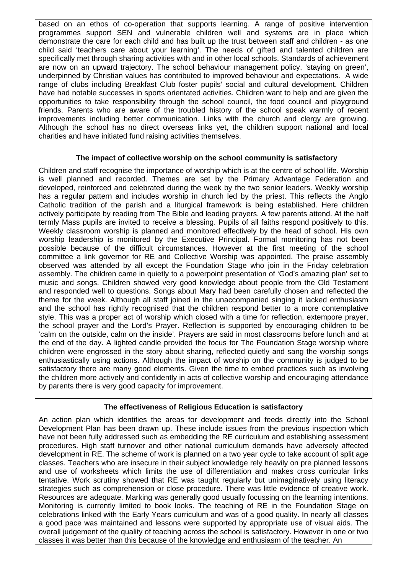based on an ethos of co-operation that supports learning. A range of positive intervention programmes support SEN and vulnerable children well and systems are in place which demonstrate the care for each child and has built up the trust between staff and children - as one child said 'teachers care about your learning'. The needs of gifted and talented children are specifically met through sharing activities with and in other local schools. Standards of achievement are now on an upward trajectory. The school behaviour management policy, 'staying on green', underpinned by Christian values has contributed to improved behaviour and expectations. A wide range of clubs including Breakfast Club foster pupils' social and cultural development. Children have had notable successes in sports orientated activities. Children want to help and are given the opportunities to take responsibility through the school council, the food council and playground friends. Parents who are aware of the troubled history of the school speak warmly of recent improvements including better communication. Links with the church and clergy are growing. Although the school has no direct overseas links yet, the children support national and local charities and have initiated fund raising activities themselves.

#### **The impact of collective worship on the school community is satisfactory**

Children and staff recognise the importance of worship which is at the centre of school life. Worship is well planned and recorded. Themes are set by the Primary Advantage Federation and developed, reinforced and celebrated during the week by the two senior leaders. Weekly worship has a regular pattern and includes worship in church led by the priest. This reflects the Anglo Catholic tradition of the parish and a liturgical framework is being established. Here children actively participate by reading from The Bible and leading prayers. A few parents attend. At the half termly Mass pupils are invited to receive a blessing. Pupils of all faiths respond positively to this. Weekly classroom worship is planned and monitored effectively by the head of school. His own worship leadership is monitored by the Executive Principal. Formal monitoring has not been possible because of the difficult circumstances. However at the first meeting of the school committee a link governor for RE and Collective Worship was appointed. The praise assembly observed was attended by all except the Foundation Stage who join in the Friday celebration assembly. The children came in quietly to a powerpoint presentation of 'God's amazing plan' set to music and songs. Children showed very good knowledge about people from the Old Testament and responded well to questions. Songs about Mary had been carefully chosen and reflected the theme for the week. Although all staff joined in the unaccompanied singing it lacked enthusiasm and the school has rightly recognised that the children respond better to a more contemplative style. This was a proper act of worship which closed with a time for reflection, extempore prayer, the school prayer and the Lord's Prayer. Reflection is supported by encouraging children to be 'calm on the outside, calm on the inside'. Prayers are said in most classrooms before lunch and at the end of the day. A lighted candle provided the focus for The Foundation Stage worship where children were engrossed in the story about sharing, reflected quietly and sang the worship songs enthusiastically using actions. Although the impact of worship on the community is judged to be satisfactory there are many good elements. Given the time to embed practices such as involving the children more actively and confidently in acts of collective worship and encouraging attendance by parents there is very good capacity for improvement.

#### **The effectiveness of Religious Education is satisfactory**

An action plan which identifies the areas for development and feeds directly into the School Development Plan has been drawn up. These include issues from the previous inspection which have not been fully addressed such as embedding the RE curriculum and establishing assessment procedures. High staff turnover and other national curriculum demands have adversely affected development in RE. The scheme of work is planned on a two year cycle to take account of split age classes. Teachers who are insecure in their subject knowledge rely heavily on pre planned lessons and use of worksheets which limits the use of differentiation and makes cross curricular links tentative. Work scrutiny showed that RE was taught regularly but unimaginatively using literacy strategies such as comprehension or close procedure. There was little evidence of creative work. Resources are adequate. Marking was generally good usually focussing on the learning intentions. Monitoring is currently limited to book looks. The teaching of RE in the Foundation Stage on celebrations linked with the Early Years curriculum and was of a good quality. In nearly all classes a good pace was maintained and lessons were supported by appropriate use of visual aids. The overall judgement of the quality of teaching across the school is satisfactory. However in one or two classes it was better than this because of the knowledge and enthusiasm of the teacher. An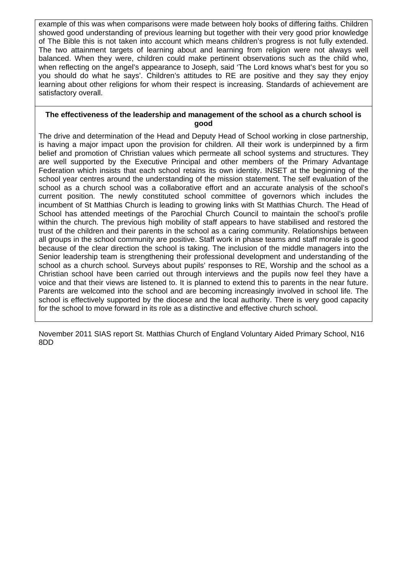example of this was when comparisons were made between holy books of differing faiths. Children showed good understanding of previous learning but together with their very good prior knowledge of The Bible this is not taken into account which means children's progress is not fully extended. The two attainment targets of learning about and learning from religion were not always well balanced. When they were, children could make pertinent observations such as the child who, when reflecting on the angel's appearance to Joseph, said 'The Lord knows what's best for you so you should do what he says'. Children's attitudes to RE are positive and they say they enjoy learning about other religions for whom their respect is increasing. Standards of achievement are satisfactory overall.

#### **The effectiveness of the leadership and management of the school as a church school is good**

The drive and determination of the Head and Deputy Head of School working in close partnership, is having a major impact upon the provision for children. All their work is underpinned by a firm belief and promotion of Christian values which permeate all school systems and structures. They are well supported by the Executive Principal and other members of the Primary Advantage Federation which insists that each school retains its own identity. INSET at the beginning of the school year centres around the understanding of the mission statement. The self evaluation of the school as a church school was a collaborative effort and an accurate analysis of the school's current position. The newly constituted school committee of governors which includes the incumbent of St Matthias Church is leading to growing links with St Matthias Church. The Head of School has attended meetings of the Parochial Church Council to maintain the school's profile within the church. The previous high mobility of staff appears to have stabilised and restored the trust of the children and their parents in the school as a caring community. Relationships between all groups in the school community are positive. Staff work in phase teams and staff morale is good because of the clear direction the school is taking. The inclusion of the middle managers into the Senior leadership team is strengthening their professional development and understanding of the school as a church school. Surveys about pupils' responses to RE, Worship and the school as a Christian school have been carried out through interviews and the pupils now feel they have a voice and that their views are listened to. It is planned to extend this to parents in the near future. Parents are welcomed into the school and are becoming increasingly involved in school life. The school is effectively supported by the diocese and the local authority. There is very good capacity for the school to move forward in its role as a distinctive and effective church school.

November 2011 SIAS report St. Matthias Church of England Voluntary Aided Primary School, N16 8DD